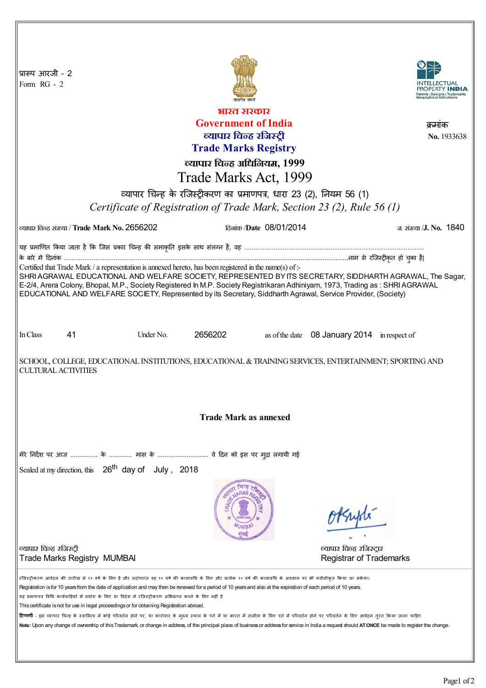| प्रारूप आरजी - 2<br>Form $RG - 2$                                                                                                                                                                                                                                                                                                                                                                                                                                                                                                 |                         |                                              |
|-----------------------------------------------------------------------------------------------------------------------------------------------------------------------------------------------------------------------------------------------------------------------------------------------------------------------------------------------------------------------------------------------------------------------------------------------------------------------------------------------------------------------------------|-------------------------|----------------------------------------------|
| भारत सरकार                                                                                                                                                                                                                                                                                                                                                                                                                                                                                                                        |                         |                                              |
| <b>Government of India</b>                                                                                                                                                                                                                                                                                                                                                                                                                                                                                                        |                         |                                              |
|                                                                                                                                                                                                                                                                                                                                                                                                                                                                                                                                   | व्यापार चिन्ह रजिस्ट्री | क्रमाक<br>No. 1933638                        |
| <b>Trade Marks Registry</b>                                                                                                                                                                                                                                                                                                                                                                                                                                                                                                       |                         |                                              |
| व्यापार चिन्ह अधिनियम, 1999                                                                                                                                                                                                                                                                                                                                                                                                                                                                                                       |                         |                                              |
| Trade Marks Act, 1999                                                                                                                                                                                                                                                                                                                                                                                                                                                                                                             |                         |                                              |
|                                                                                                                                                                                                                                                                                                                                                                                                                                                                                                                                   |                         |                                              |
| व्यापार चिन्ह के रजिस्ट्रीकरण का प्रमाणपत्र, धारा 23 (2), नियम 56 (1)                                                                                                                                                                                                                                                                                                                                                                                                                                                             |                         |                                              |
| Certificate of Registration of Trade Mark, Section 23 (2), Rule 56 (1)                                                                                                                                                                                                                                                                                                                                                                                                                                                            |                         |                                              |
| ल्यापार चिन्ह संख्या / Trade Mark No. 2656202                                                                                                                                                                                                                                                                                                                                                                                                                                                                                     | दिलांक /Date 08/01/2014 | ज संख्या /J. No. 1840                        |
| यह प्रमाणित किया जाता है कि जिस प्रकार चिन्ह की समाकृति इसके साथ संलग्न है, वह …………………………………………………………………………………                                                                                                                                                                                                                                                                                                                                                                                                                    |                         |                                              |
| Certified that Trade Mark / a representation is annexed hereto, has been registered in the name(s) of :-                                                                                                                                                                                                                                                                                                                                                                                                                          |                         |                                              |
| SHRI AGRAWAL EDUCATIONAL AND WELFARE SOCIETY, REPRESENTED BY ITS SECRETARY, SIDDHARTH AGRAWAL, The Sagar,                                                                                                                                                                                                                                                                                                                                                                                                                         |                         |                                              |
| E-2/4, Arera Colony, Bhopal, M.P., Society Registered In M.P. Society Registrikaran Adhiniyam, 1973, Trading as: SHRI AGRAWAL<br>EDUCATIONAL AND WELFARE SOCIETY, Represented by its Secretary, Siddharth Agrawal, Service Provider, (Society)                                                                                                                                                                                                                                                                                    |                         |                                              |
|                                                                                                                                                                                                                                                                                                                                                                                                                                                                                                                                   |                         |                                              |
|                                                                                                                                                                                                                                                                                                                                                                                                                                                                                                                                   |                         |                                              |
| 41<br>In Class<br>Under No.                                                                                                                                                                                                                                                                                                                                                                                                                                                                                                       | 2656202                 | as of the date 08 January 2014 in respect of |
|                                                                                                                                                                                                                                                                                                                                                                                                                                                                                                                                   |                         |                                              |
| SCHOOL, COLLEGE, EDUCATIONAL INSTITUTIONS, EDUCATIONAL & TRAINING SERVICES, ENTERTAINMENT; SPORTING AND<br><b>CULTURAL ACTIVITIES</b>                                                                                                                                                                                                                                                                                                                                                                                             |                         |                                              |
|                                                                                                                                                                                                                                                                                                                                                                                                                                                                                                                                   |                         |                                              |
| <b>Trade Mark as annexed</b>                                                                                                                                                                                                                                                                                                                                                                                                                                                                                                      |                         |                                              |
|                                                                                                                                                                                                                                                                                                                                                                                                                                                                                                                                   |                         |                                              |
| मेरे निर्देश पर आज  के  मास के  वे दिन को इस पर मुद्रा लगायी गई                                                                                                                                                                                                                                                                                                                                                                                                                                                                   |                         |                                              |
| Sealed at my direction, this 26 <sup>th</sup> day of July, 2018                                                                                                                                                                                                                                                                                                                                                                                                                                                                   |                         |                                              |
| व्यापार चिन्ह रजिस्ट्री                                                                                                                                                                                                                                                                                                                                                                                                                                                                                                           |                         | व्यापार चिन्ह रजिस्ट्रार                     |
| <b>Trade Marks Registry MUMBAI</b>                                                                                                                                                                                                                                                                                                                                                                                                                                                                                                |                         | <b>Registrar of Trademarks</b>               |
| रजिस्ट्रीकरण आवेदन की तारीख से १० वर्ष के लिए है और तदोपरांत वह १० वर्ष की कालावधि के श्रेण के अधिक के पर की अवसान पर भी नवीनीकृत किया जा सकेगा।<br>Registration is for 10 years from the date of application and may then be renewed for a period of 10 years and also at the expiration of each period of 10 years.<br>यह प्रमाणपत्र विधि कार्यवाहियों में प्रयोग के लिए या विदेश में रजिस्ट्रीकरण अभिप्राप्त करने के लिए नहीं है<br>This certificate is not for use in legal proceedings or for obtaining Registration abroad. |                         |                                              |
| <b>टिप्पणी</b> - इस व्यापार चिन्ह के स्वामित्व में कोई परिवर्तन होने पर, या कारोवार के मुख्य स्थान के भी जाने में परिवर्तन होने पर परिवर्तन के लिए आवेदन तुरंत किया जाना चाहिए.<br>Note: Upon any change of ownership of this Trademark, or change in address, of the principal place of business or address for service in India a request should ATONCE be made to register the change.                                                                                                                                         |                         |                                              |
|                                                                                                                                                                                                                                                                                                                                                                                                                                                                                                                                   |                         |                                              |